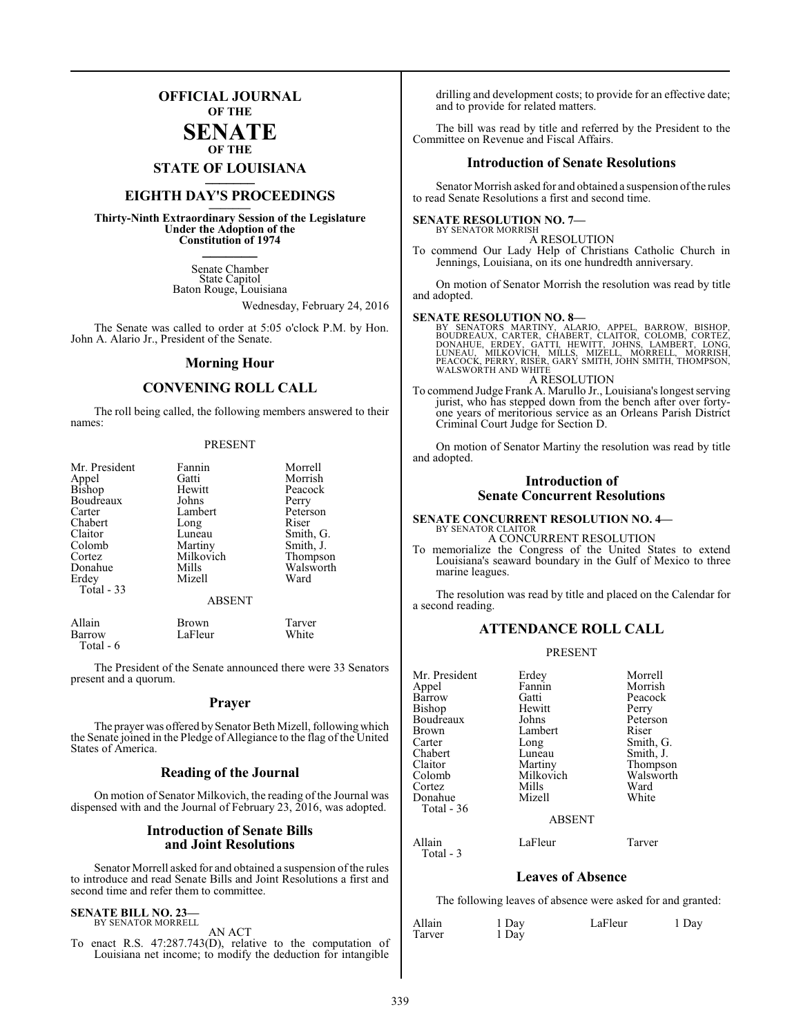## **OFFICIAL JOURNAL OF THE**

## **SENATE OF THE**

# **STATE OF LOUISIANA \_\_\_\_\_\_\_**

## **EIGHTH DAY'S PROCEEDINGS \_\_\_\_\_\_\_**

**Thirty-Ninth Extraordinary Session of the Legislature Under the Adoption of the Constitution of 1974 \_\_\_\_\_\_\_**

> Senate Chamber State Capitol Baton Rouge, Louisiana

> > Wednesday, February 24, 2016

The Senate was called to order at 5:05 o'clock P.M. by Hon. John A. Alario Jr., President of the Senate.

### **Morning Hour**

## **CONVENING ROLL CALL**

The roll being called, the following members answered to their names:

#### PRESENT

| Mr. President | Fannin        | Morrell   |
|---------------|---------------|-----------|
| Appel         | Gatti         | Morrish   |
| <b>Bishop</b> | Hewitt        | Peacock   |
| Boudreaux     | Johns         | Perry     |
| Carter        | Lambert       | Peterson  |
| Chabert       | Long          | Riser     |
| Claitor       | Luneau        | Smith, G. |
| Colomb        | Martiny       | Smith, J. |
| Cortez        | Milkovich     | Thompson  |
| Donahue       | Mills         | Walsworth |
| Erdey         | Mizell        | Ward      |
| Total - 33    |               |           |
|               | <b>ABSENT</b> |           |

| Allain     | <b>Brown</b> | Tarver |
|------------|--------------|--------|
| Barrow     | LaFleur      | White  |
| Total $-6$ |              |        |

The President of the Senate announced there were 33 Senators present and a quorum.

## **Prayer**

The prayer was offered by Senator Beth Mizell, following which the Senate joined in the Pledge of Allegiance to the flag of the United States of America.

## **Reading of the Journal**

On motion of Senator Milkovich, the reading of the Journal was dispensed with and the Journal of February 23, 2016, was adopted.

## **Introduction of Senate Bills and Joint Resolutions**

Senator Morrell asked for and obtained a suspension of the rules to introduce and read Senate Bills and Joint Resolutions a first and second time and refer them to committee.

#### **SENATE BILL NO. 23—** BY SENATOR MORRELL

AN ACT

To enact R.S. 47:287.743(D), relative to the computation of Louisiana net income; to modify the deduction for intangible

drilling and development costs; to provide for an effective date; and to provide for related matters.

The bill was read by title and referred by the President to the Committee on Revenue and Fiscal Affairs.

## **Introduction of Senate Resolutions**

Senator Morrish asked for and obtained a suspension ofthe rules to read Senate Resolutions a first and second time.

#### **SENATE RESOLUTION NO. 7—** BY SENATOR MORRISH

A RESOLUTION

To commend Our Lady Help of Christians Catholic Church in Jennings, Louisiana, on its one hundredth anniversary.

On motion of Senator Morrish the resolution was read by title and adopted.

#### **SENATE RESOLUTION NO. 8—**

BY SENATORS MARTINY, ALARIO, APPEL, BARROW, BISHOP,<br>BOUDREAUX, CARTER, CHABERT, CLAITOR, COLOMB, CORTEZ,<br>DONAHUE, ERDEY, GATTI, HEWITT, JOHNS, LAMBERT, LONG,<br>LUNEAU, MILKOVICH, MILLS, MIZELL, MORRELL, MORRISH,<br>PEACOCK,PERR A RESOLUTION

To commend Judge Frank A. Marullo Jr., Louisiana's longest serving jurist, who has stepped down from the bench after over fortyone years of meritorious service as an Orleans Parish District Criminal Court Judge for Section D.

On motion of Senator Martiny the resolution was read by title and adopted.

## **Introduction of Senate Concurrent Resolutions**

#### **SENATE CONCURRENT RESOLUTION NO. 4—** BY SENATOR CLAITOR

A CONCURRENT RESOLUTION

To memorialize the Congress of the United States to extend Louisiana's seaward boundary in the Gulf of Mexico to three marine leagues.

The resolution was read by title and placed on the Calendar for a second reading.

## **ATTENDANCE ROLL CALL**

#### PRESENT

| Mr. President | Erdey         | Morrell   |
|---------------|---------------|-----------|
| Appel         | Fannin        | Morrish   |
| Barrow        | Gatti         | Peacock   |
| <b>Bishop</b> | Hewitt        | Perry     |
| Boudreaux     | Johns         | Peterson  |
| <b>Brown</b>  | Lambert       | Riser     |
| Carter        | Long          | Smith, G. |
| Chabert       | Luneau        | Smith, J. |
| Claitor       | Martiny       | Thompson  |
| Colomb        | Milkovich     | Walsworth |
| Cortez        | Mills         | Ward      |
| Donahue       | Mizell        | White     |
| Total - 36    |               |           |
|               | <b>ABSENT</b> |           |
| Allain        | LaFleur       | Tarver    |

**Leaves of Absence**

The following leaves of absence were asked for and granted:

| Allain<br>Tarver | 1 Day<br>1 Day | LaFleur | 1 Day |
|------------------|----------------|---------|-------|
|                  |                |         |       |

Total - 3